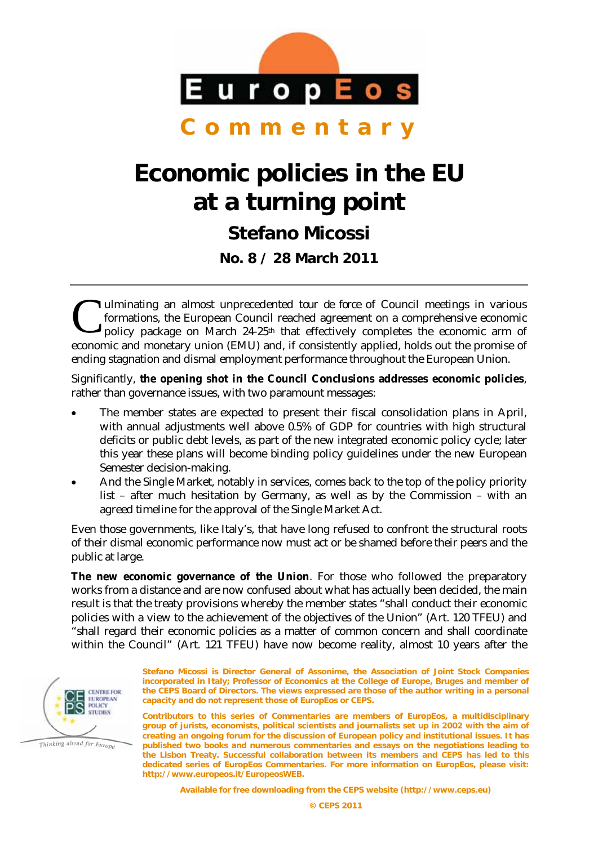

## **Commentary**

## **Economic policies in the EU at a turning point**

## **Stefano Micossi**

**No. 8 / 28 March 2011** 

ulminating an almost unprecedented *tour de force* of Council meetings in various formations, the European Council reached agreement on a comprehensive economic policy package on March 24-25<sup>th</sup> that effectively completes the economic arm of economic and monetary union (EMU) and, if consistently applied, holds out the promise of ending stagnation and dismal employment performance throughout the European Union. C

Significantly, **the opening shot in the Council Conclusions addresses economic policies**, rather than governance issues, with two paramount messages:

- The member states are expected to present their fiscal consolidation plans in April, with annual adjustments well above 0.5% of GDP for countries with high structural deficits or public debt levels, as part of the new integrated economic policy cycle; later this year these plans will become binding policy guidelines under the new European Semester decision-making.
- And the Single Market, notably in services, comes back to the top of the policy priority list – after much hesitation by Germany, as well as by the Commission – with an agreed timeline for the approval of the Single Market Act.

Even those governments, like Italy's, that have long refused to confront the structural roots of their dismal economic performance now must act or be shamed before their peers and the public at large.

**The new economic governance of the Union**. For those who followed the preparatory works from a distance and are now confused about what has actually been decided, the main result is that the treaty provisions whereby the member states "shall conduct their economic policies with a view to the achievement of the objectives of the Union" (Art. 120 TFEU) and "shall regard their economic policies as a matter of common concern and shall coordinate within the Council" (Art. 121 TFEU) have now become reality, almost 10 years after the



**Stefano Micossi is Director General of Assonime, the Association of Joint Stock Companies incorporated in Italy; Professor of Economics at the College of Europe, Bruges and member of the CEPS Board of Directors. The views expressed are those of the author writing in a personal capacity and do not represent those of EuropEos or CEPS.** 

**Contributors to this series of Commentaries are members of EuropEos, a multidisciplinary group of jurists, economists, political scientists and journalists set up in 2002 with the aim of creating an ongoing forum for the discussion of European policy and institutional issues. It has published two books and numerous commentaries and essays on the negotiations leading to the Lisbon Treaty. Successful collaboration between its members and CEPS has led to this dedicated series of EuropEos Commentaries. For more information on EuropEos, please visit: http://www.europeos.it/EuropeosWEB.** 

**Available for free downloading from the CEPS website (http://www.ceps.eu)**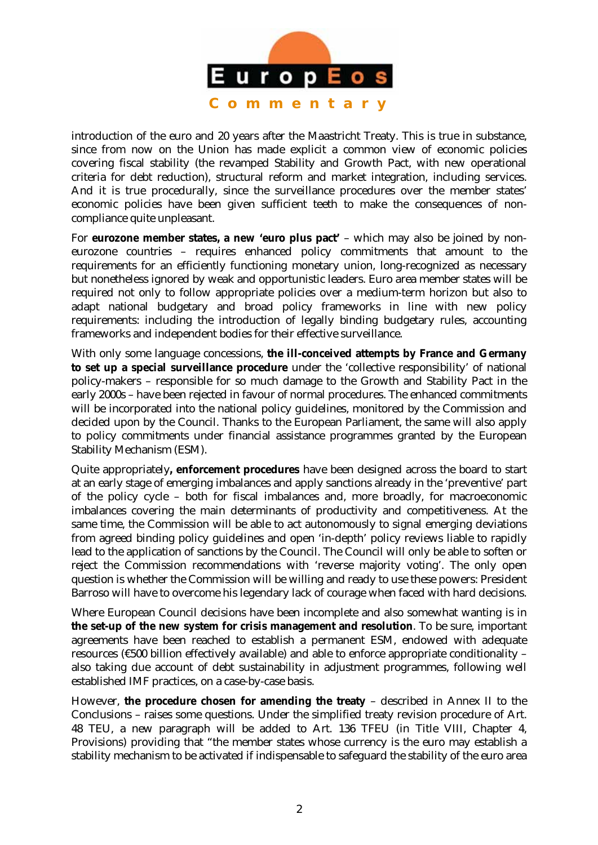

introduction of the euro and 20 years after the Maastricht Treaty. This is true in substance, since from now on the Union has made explicit a common view of economic policies covering fiscal stability (the revamped Stability and Growth Pact, with new operational criteria for debt reduction), structural reform and market integration, including services. And it is true procedurally, since the surveillance procedures over the member states' economic policies have been given sufficient teeth to make the consequences of noncompliance quite unpleasant.

For **eurozone member states, a new 'euro plus pact'** – which may also be joined by noneurozone countries – requires enhanced policy commitments that amount to the requirements for an efficiently functioning monetary union, long-recognized as necessary but nonetheless ignored by weak and opportunistic leaders. Euro area member states will be required not only to follow appropriate policies over a medium-term horizon but also to adapt national budgetary and broad policy frameworks in line with new policy requirements: including the introduction of legally binding budgetary rules, accounting frameworks and independent bodies for their effective surveillance.

With only some language concessions, **the ill-conceived attempts by France and Germany to set up a special surveillance procedure** under the 'collective responsibility' of national policy-makers – responsible for so much damage to the Growth and Stability Pact in the early 2000s – have been rejected in favour of normal procedures. The enhanced commitments will be incorporated into the national policy guidelines, monitored by the Commission and decided upon by the Council. Thanks to the European Parliament, the same will also apply to policy commitments under financial assistance programmes granted by the European Stability Mechanism (ESM).

Quite appropriately**, enforcement procedures** have been designed across the board to start at an early stage of emerging imbalances and apply sanctions already in the 'preventive' part of the policy cycle – both for fiscal imbalances and, more broadly, for macroeconomic imbalances covering the main determinants of productivity and competitiveness. At the same time, the Commission will be able to act autonomously to signal emerging deviations from agreed binding policy guidelines and open 'in-depth' policy reviews liable to rapidly lead to the application of sanctions by the Council. The Council will only be able to soften or reject the Commission recommendations with 'reverse majority voting'. The only open question is whether the Commission will be willing and ready to use these powers: President Barroso will have to overcome his legendary lack of courage when faced with hard decisions.

Where European Council decisions have been incomplete and also somewhat wanting is in **the set-up of the new system for crisis management and resolution**. To be sure, important agreements have been reached to establish a permanent ESM, endowed with adequate resources (€500 billion effectively available) and able to enforce appropriate conditionality – also taking due account of debt sustainability in adjustment programmes, following well established IMF practices, on a case-by-case basis.

However, **the procedure chosen for amending the treaty** – described in Annex II to the Conclusions – raises some questions. Under the simplified treaty revision procedure of Art. 48 TEU, a new paragraph will be added to Art. 136 TFEU (in Title VIII, Chapter 4, Provisions) providing that "the member states whose currency is the euro may establish a stability mechanism to be activated if indispensable to safeguard the stability of the euro area